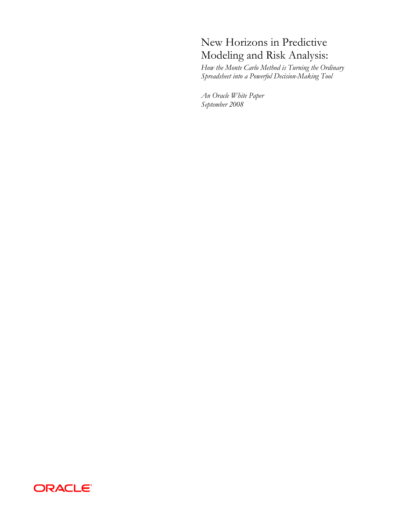# New Horizons in Predictive Modeling and Risk Analysis:

*How the Monte Carlo Method is Turning the Ordinary Spreadsheet into a Powerful Decision-Making Tool*

*An Oracle White Paper September 2008* 

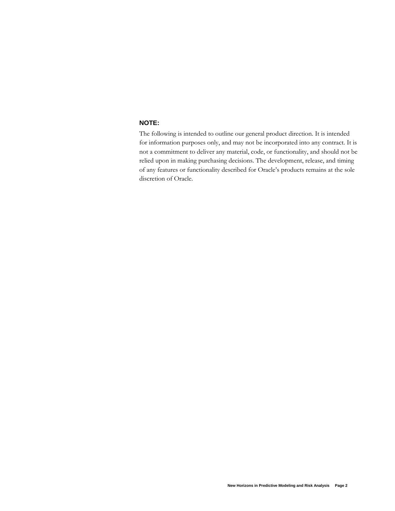# **NOTE:**

The following is intended to outline our general product direction. It is intended for information purposes only, and may not be incorporated into any contract. It is not a commitment to deliver any material, code, or functionality, and should not be relied upon in making purchasing decisions. The development, release, and timing of any features or functionality described for Oracle's products remains at the sole discretion of Oracle.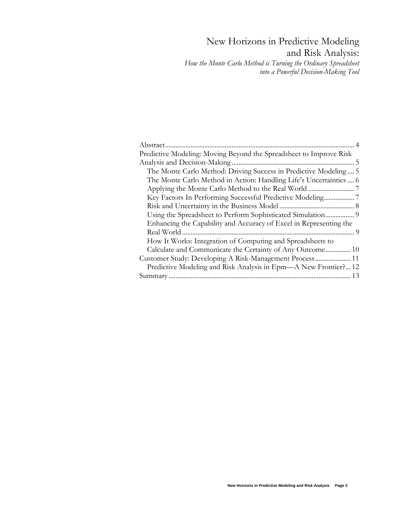# New Horizons in Predictive Modeling and Risk Analysis: *How the Monte Carlo Method is Turning the Ordinary Spreadsheet*

 *into a Powerful Decision-Making Tool*

| Predictive Modeling: Moving Beyond the Spreadsheet to Improve Risk |
|--------------------------------------------------------------------|
|                                                                    |
| The Monte Carlo Method: Driving Success in Predictive Modeling 5   |
| The Monte Carlo Method in Action: Handling Life's Uncertainties 6  |
|                                                                    |
|                                                                    |
|                                                                    |
|                                                                    |
| Enhancing the Capability and Accuracy of Excel in Representing the |
|                                                                    |
| How It Works: Integration of Computing and Spreadsheets to         |
| Calculate and Communicate the Certainty of Any Outcome 10          |
|                                                                    |
| Predictive Modeling and Risk Analysis in Epm—A New Frontier?12     |
| 13                                                                 |
|                                                                    |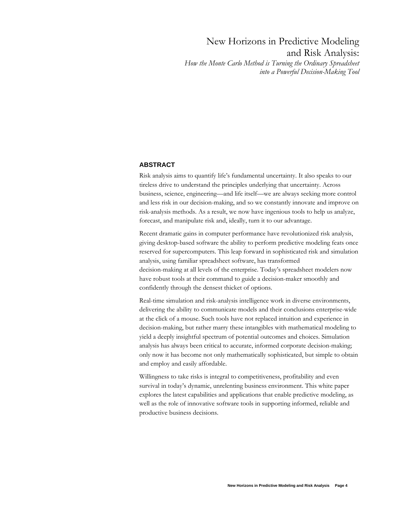<span id="page-3-0"></span>New Horizons in Predictive Modeling and Risk Analysis: *How the Monte Carlo Method is Turning the Ordinary Spreadsheet into a Powerful Decision-Making Tool*

#### **ABSTRACT**

Risk analysis aims to quantify life's fundamental uncertainty. It also speaks to our tireless drive to understand the principles underlying that uncertainty. Across business, science, engineering—and life itself—we are always seeking more control and less risk in our decision-making, and so we constantly innovate and improve on risk-analysis methods. As a result, we now have ingenious tools to help us analyze, forecast, and manipulate risk and, ideally, turn it to our advantage.

Recent dramatic gains in computer performance have revolutionized risk analysis, giving desktop-based software the ability to perform predictive modeling feats once reserved for supercomputers. This leap forward in sophisticated risk and simulation analysis, using familiar spreadsheet software, has transformed decision-making at all levels of the enterprise. Today's spreadsheet modelers now have robust tools at their command to guide a decision-maker smoothly and confidently through the densest thicket of options.

Real-time simulation and risk-analysis intelligence work in diverse environments, delivering the ability to communicate models and their conclusions enterprise-wide at the click of a mouse. Such tools have not replaced intuition and experience in decision-making, but rather marry these intangibles with mathematical modeling to yield a deeply insightful spectrum of potential outcomes and choices. Simulation analysis has always been critical to accurate, informed corporate decision-making; only now it has become not only mathematically sophisticated, but simple to obtain and employ and easily affordable.

Willingness to take risks is integral to competitiveness, profitability and even survival in today's dynamic, unrelenting business environment. This white paper explores the latest capabilities and applications that enable predictive modeling, as well as the role of innovative software tools in supporting informed, reliable and productive business decisions.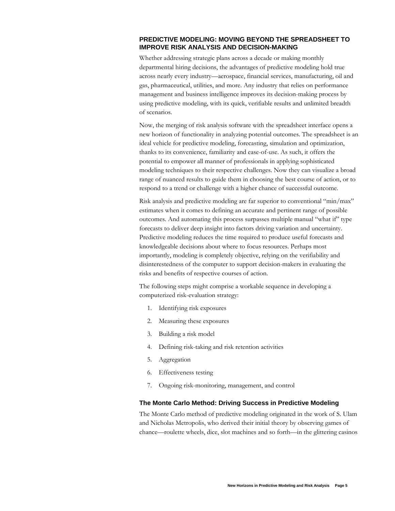#### <span id="page-4-0"></span>**PREDICTIVE MODELING: MOVING BEYOND THE SPREADSHEET TO IMPROVE RISK ANALYSIS AND DECISION-MAKING**

Whether addressing strategic plans across a decade or making monthly departmental hiring decisions, the advantages of predictive modeling hold true across nearly every industry—aerospace, financial services, manufacturing, oil and gas, pharmaceutical, utilities, and more. Any industry that relies on performance management and business intelligence improves its decision-making process by using predictive modeling, with its quick, verifiable results and unlimited breadth of scenarios.

Now, the merging of risk analysis software with the spreadsheet interface opens a new horizon of functionality in analyzing potential outcomes. The spreadsheet is an ideal vehicle for predictive modeling, forecasting, simulation and optimization, thanks to its convenience, familiarity and ease-of-use. As such, it offers the potential to empower all manner of professionals in applying sophisticated modeling techniques to their respective challenges. Now they can visualize a broad range of nuanced results to guide them in choosing the best course of action, or to respond to a trend or challenge with a higher chance of successful outcome.

Risk analysis and predictive modeling are far superior to conventional "min/max" estimates when it comes to defining an accurate and pertinent range of possible outcomes. And automating this process surpasses multiple manual "what if" type forecasts to deliver deep insight into factors driving variation and uncertainty. Predictive modeling reduces the time required to produce useful forecasts and knowledgeable decisions about where to focus resources. Perhaps most importantly, modeling is completely objective, relying on the verifiability and disinterestedness of the computer to support decision-makers in evaluating the risks and benefits of respective courses of action.

The following steps might comprise a workable sequence in developing a computerized risk-evaluation strategy:

- 1. Identifying risk exposures
- 2. Measuring these exposures
- 3. Building a risk model
- 4. Defining risk-taking and risk retention activities
- 5. Aggregation
- 6. Effectiveness testing
- 7. Ongoing risk-monitoring, management, and control

#### **The Monte Carlo Method: Driving Success in Predictive Modeling**

The Monte Carlo method of predictive modeling originated in the work of S. Ulam and Nicholas Metropolis, who derived their initial theory by observing games of chance—roulette wheels, dice, slot machines and so forth—in the glittering casinos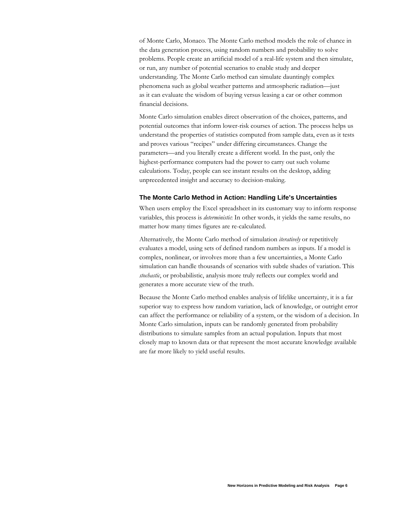<span id="page-5-0"></span>of Monte Carlo, Monaco. The Monte Carlo method models the role of chance in the data generation process, using random numbers and probability to solve problems. People create an artificial model of a real-life system and then simulate, or run, any number of potential scenarios to enable study and deeper understanding. The Monte Carlo method can simulate dauntingly complex phenomena such as global weather patterns and atmospheric radiation—just as it can evaluate the wisdom of buying versus leasing a car or other common financial decisions.

Monte Carlo simulation enables direct observation of the choices, patterns, and potential outcomes that inform lower-risk courses of action. The process helps us understand the properties of statistics computed from sample data, even as it tests and proves various "recipes" under differing circumstances. Change the parameters—and you literally create a different world. In the past, only the highest-performance computers had the power to carry out such volume calculations. Today, people can see instant results on the desktop, adding unprecedented insight and accuracy to decision-making.

#### **The Monte Carlo Method in Action: Handling Life's Uncertainties**

When users employ the Excel spreadsheet in its customary way to inform response variables, this process is *deterministic*: In other words, it yields the same results, no matter how many times figures are re-calculated.

Alternatively, the Monte Carlo method of simulation *iteratively* or repetitively evaluates a model, using sets of defined random numbers as inputs. If a model is complex, nonlinear, or involves more than a few uncertainties, a Monte Carlo simulation can handle thousands of scenarios with subtle shades of variation. This *stochastic*, or probabilistic, analysis more truly reflects our complex world and generates a more accurate view of the truth.

Because the Monte Carlo method enables analysis of lifelike uncertainty, it is a far superior way to express how random variation, lack of knowledge, or outright error can affect the performance or reliability of a system, or the wisdom of a decision. In Monte Carlo simulation, inputs can be randomly generated from probability distributions to simulate samples from an actual population. Inputs that most closely map to known data or that represent the most accurate knowledge available are far more likely to yield useful results.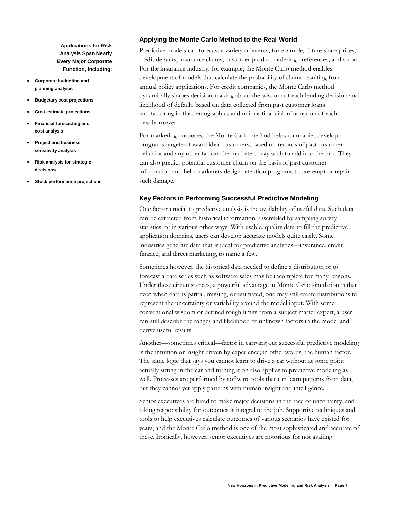<span id="page-6-0"></span>**Applications for Risk Analysis Span Nearly Every Major Corporate Function, Including:** 

- **Corporate budgeting and planning analysis**
- **Budgetary cost projections**
- **Cost estimate projections**
- **Financial forecasting and cost analysis**
- **Project and business sensitivity analysis**
- **Risk analysis for strategic decisions**
- **Stock performance projections**

#### **Applying the Monte Carlo Method to the Real World**

Predictive models can forecast a variety of events; for example, future share prices, credit defaults, insurance claims, customer product-ordering preferences, and so on. For the insurance industry, for example, the Monte Carlo method enables development of models that calculate the probability of claims resulting from annual policy applications. For credit companies, the Monte Carlo method dynamically shapes decision-making about the wisdom of each lending decision and likelihood of default, based on data collected from past customer loans and factoring in the demographics and unique financial information of each new borrower.

For marketing purposes, the Monte Carlo method helps companies develop programs targeted toward ideal customers, based on records of past customer behavior and any other factors the marketers may wish to add into the mix. They can also predict potential customer churn on the basis of past customer information and help marketers design retention programs to pre-empt or repair such damage.

## **Key Factors in Performing Successful Predictive Modeling**

One factor crucial to predictive analysis is the availability of useful data. Such data can be extracted from historical information, assembled by sampling survey statistics, or in various other ways. With usable, quality data to fill the predictive application domains, users can develop accurate models quite easily. Some industries generate data that is ideal for predictive analytics—insurance, credit finance, and direct marketing, to name a few.

Sometimes however, the historical data needed to define a distribution or to forecast a data series such as software sales may be incomplete for many reasons. Under these circumstances, a powerful advantage in Monte Carlo simulation is that even when data is partial, missing, or estimated, one may still create distributions to represent the uncertainty or variability around the model input. With some conventional wisdom or defined rough limits from a subject matter expert, a user can still describe the ranges and likelihood of unknown factors in the model and derive useful results.

Another—sometimes critical—factor in carrying out successful predictive modeling is the intuition or insight driven by experience; in other words, the human factor. The same logic that says you cannot learn to drive a car without at some point actually sitting in the car and turning it on also applies to predictive modeling as well. Processes are performed by software tools that can learn patterns from data, but they cannot yet apply patterns with human insight and intelligence.

Senior executives are hired to make major decisions in the face of uncertainty, and taking responsibility for outcomes is integral to the job. Supportive techniques and tools to help executives calculate outcomes of various scenarios have existed for years, and the Monte Carlo method is one of the most sophisticated and accurate of these. Ironically, however, senior executives are notorious for not availing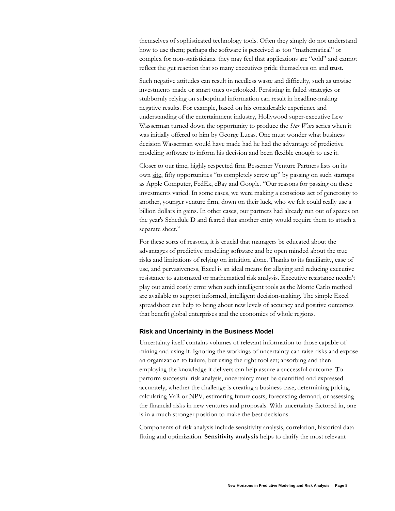<span id="page-7-0"></span>themselves of sophisticated technology tools. Often they simply do not understand how to use them; perhaps the software is perceived as too "mathematical" or complex for non-statisticians. they may feel that applications are "cold" and cannot reflect the gut reaction that so many executives pride themselves on and trust.

Such negative attitudes can result in needless waste and difficulty, such as unwise investments made or smart ones overlooked. Persisting in failed strategies or stubbornly relying on suboptimal information can result in headline-making negative results. For example, based on his considerable experience and understanding of the entertainment industry, Hollywood super-executive Lew Wasserman turned down the opportunity to produce the *Star Wars* series when it was initially offered to him by George Lucas. One must wonder what business decision Wasserman would have made had he had the advantage of predictive modeling software to inform his decision and been flexible enough to use it.

Closer to our time, highly respected firm Bessemer Venture Partners lists on its own site, fifty opportunities "to completely screw up" by passing on such startups as Apple Computer, FedEx, eBay and Google. "Our reasons for passing on these investments varied. In some cases, we were making a conscious act of generosity to another, younger venture firm, down on their luck, who we felt could really use a billion dollars in gains. In other cases, our partners had already run out of spaces on the year's Schedule D and feared that another entry would require them to attach a separate sheet."

For these sorts of reasons, it is crucial that managers be educated about the advantages of predictive modeling software and be open minded about the true risks and limitations of relying on intuition alone. Thanks to its familiarity, ease of use, and pervasiveness, Excel is an ideal means for allaying and reducing executive resistance to automated or mathematical risk analysis. Executive resistance needn't play out amid costly error when such intelligent tools as the Monte Carlo method are available to support informed, intelligent decision-making. The simple Excel spreadsheet can help to bring about new levels of accuracy and positive outcomes that benefit global enterprises and the economies of whole regions.

#### **Risk and Uncertainty in the Business Model**

Uncertainty itself contains volumes of relevant information to those capable of mining and using it. Ignoring the workings of uncertainty can raise risks and expose an organization to failure, but using the right tool set; absorbing and then employing the knowledge it delivers can help assure a successful outcome. To perform successful risk analysis, uncertainty must be quantified and expressed accurately, whether the challenge is creating a business case, determining pricing, calculating VaR or NPV, estimating future costs, forecasting demand, or assessing the financial risks in new ventures and proposals. With uncertainty factored in, one is in a much stronger position to make the best decisions.

Components of risk analysis include sensitivity analysis, correlation, historical data fitting and optimization. **Sensitivity analysis** helps to clarify the most relevant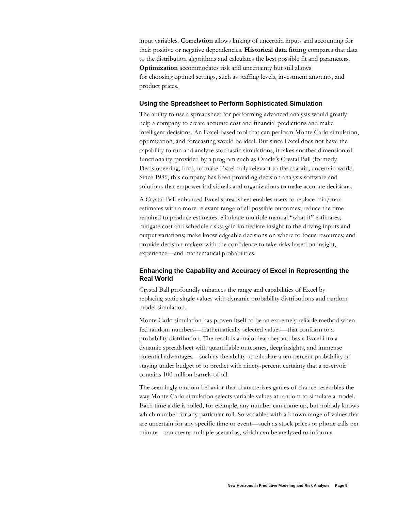<span id="page-8-0"></span>input variables. **Correlation** allows linking of uncertain inputs and accounting for their positive or negative dependencies. **Historical data fitting** compares that data to the distribution algorithms and calculates the best possible fit and parameters. **Optimization** accommodates risk and uncertainty but still allows for choosing optimal settings, such as staffing levels, investment amounts, and product prices.

#### **Using the Spreadsheet to Perform Sophisticated Simulation**

The ability to use a spreadsheet for performing advanced analysis would greatly help a company to create accurate cost and financial predictions and make intelligent decisions. An Excel-based tool that can perform Monte Carlo simulation, optimization, and forecasting would be ideal. But since Excel does not have the capability to run and analyze stochastic simulations, it takes another dimension of functionality, provided by a program such as Oracle's Crystal Ball (formerly Decisioneering, Inc.), to make Excel truly relevant to the chaotic, uncertain world. Since 1986, this company has been providing decision analysis software and solutions that empower individuals and organizations to make accurate decisions.

A Crystal-Ball enhanced Excel spreadsheet enables users to replace min/max estimates with a more relevant range of all possible outcomes; reduce the time required to produce estimates; eliminate multiple manual "what if" estimates; mitigate cost and schedule risks; gain immediate insight to the driving inputs and output variations; make knowledgeable decisions on where to focus resources; and provide decision-makers with the confidence to take risks based on insight, experience—and mathematical probabilities.

# **Enhancing the Capability and Accuracy of Excel in Representing the Real World**

Crystal Ball profoundly enhances the range and capabilities of Excel by replacing static single values with dynamic probability distributions and random model simulation.

Monte Carlo simulation has proven itself to be an extremely reliable method when fed random numbers—mathematically selected values—that conform to a probability distribution. The result is a major leap beyond basic Excel into a dynamic spreadsheet with quantifiable outcomes, deep insights, and immense potential advantages—such as the ability to calculate a ten-percent probability of staying under budget or to predict with ninety-percent certainty that a reservoir contains 100 million barrels of oil.

The seemingly random behavior that characterizes games of chance resembles the way Monte Carlo simulation selects variable values at random to simulate a model. Each time a die is rolled, for example, any number can come up, but nobody knows which number for any particular roll. So variables with a known range of values that are uncertain for any specific time or event—such as stock prices or phone calls per minute—can create multiple scenarios, which can be analyzed to inform a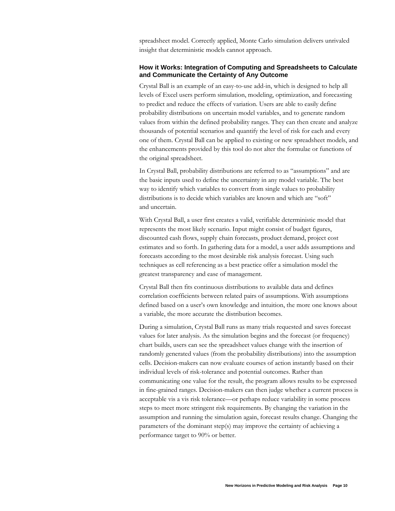<span id="page-9-0"></span>spreadsheet model. Correctly applied, Monte Carlo simulation delivers unrivaled insight that deterministic models cannot approach.

## **How it Works: Integration of Computing and Spreadsheets to Calculate and Communicate the Certainty of Any Outcome**

Crystal Ball is an example of an easy-to-use add-in, which is designed to help all levels of Excel users perform simulation, modeling, optimization, and forecasting to predict and reduce the effects of variation. Users are able to easily define probability distributions on uncertain model variables, and to generate random values from within the defined probability ranges. They can then create and analyze thousands of potential scenarios and quantify the level of risk for each and every one of them. Crystal Ball can be applied to existing or new spreadsheet models, and the enhancements provided by this tool do not alter the formulae or functions of the original spreadsheet.

In Crystal Ball, probability distributions are referred to as "assumptions" and are the basic inputs used to define the uncertainty in any model variable. The best way to identify which variables to convert from single values to probability distributions is to decide which variables are known and which are "soft" and uncertain.

With Crystal Ball, a user first creates a valid, verifiable deterministic model that represents the most likely scenario. Input might consist of budget figures, discounted cash flows, supply chain forecasts, product demand, project cost estimates and so forth. In gathering data for a model, a user adds assumptions and forecasts according to the most desirable risk analysis forecast. Using such techniques as cell referencing as a best practice offer a simulation model the greatest transparency and ease of management.

Crystal Ball then fits continuous distributions to available data and defines correlation coefficients between related pairs of assumptions. With assumptions defined based on a user's own knowledge and intuition, the more one knows about a variable, the more accurate the distribution becomes.

During a simulation, Crystal Ball runs as many trials requested and saves forecast values for later analysis. As the simulation begins and the forecast (or frequency) chart builds, users can see the spreadsheet values change with the insertion of randomly generated values (from the probability distributions) into the assumption cells. Decision-makers can now evaluate courses of action instantly based on their individual levels of risk-tolerance and potential outcomes. Rather than communicating one value for the result, the program allows results to be expressed in fine-grained ranges. Decision-makers can then judge whether a current process is acceptable vis a vis risk tolerance—or perhaps reduce variability in some process steps to meet more stringent risk requirements. By changing the variation in the assumption and running the simulation again, forecast results change. Changing the parameters of the dominant step(s) may improve the certainty of achieving a performance target to 90% or better.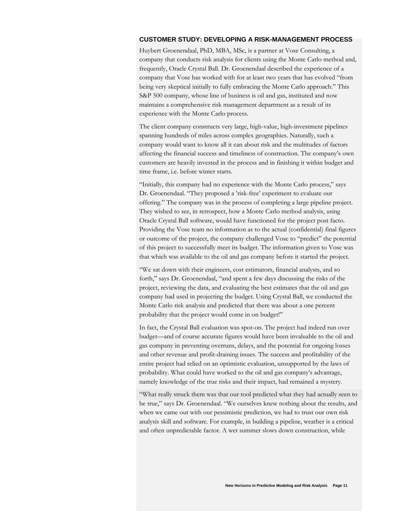#### <span id="page-10-0"></span>**CUSTOMER STUDY: DEVELOPING A RISK-MANAGEMENT PROCESS**

Huybert Groenendaal, PhD, MBA, MSc, is a partner at Vose Consulting, a company that conducts risk analysis for clients using the Monte Carlo method and, frequently, Oracle Crystal Ball. Dr. Groenendaal described the experience of a company that Vose has worked with for at least two years that has evolved "from being very skeptical initially to fully embracing the Monte Carlo approach." This S&P 500 company, whose line of business is oil and gas, instituted and now maintains a comprehensive risk management department as a result of its experience with the Monte Carlo process.

The client company constructs very large, high-value, high-investment pipelines spanning hundreds of miles across complex geographies. Naturally, such a company would want to know all it can about risk and the multitudes of factors affecting the financial success and timeliness of construction. The company's own customers are heavily invested in the process and in finishing it within budget and time frame, i.e. before winter starts.

"Initially, this company had no experience with the Monte Carlo process," says Dr. Groenendaal. "They proposed a 'risk-free' experiment to evaluate our offering." The company was in the process of completing a large pipeline project. They wished to see, in retrospect, how a Monte Carlo method analysis, using Oracle Crystal Ball software, would have functioned for the project post facto. Providing the Vose team no information as to the actual (confidential) final figures or outcome of the project, the company challenged Vose to "predict" the potential of this project to successfully meet its budget. The information given to Vose was that which was available to the oil and gas company before it started the project.

"We sat down with their engineers, cost estimators, financial analysts, and so forth," says Dr. Groenendaal, "and spent a few days discussing the risks of the project, reviewing the data, and evaluating the best estimates that the oil and gas company had used in projecting the budget. Using Crystal Ball, we conducted the Monte Carlo risk analysis and predicted that there was about a one percent probability that the project would come in on budget!"

In fact, the Crystal Ball evaluation was spot-on. The project had indeed run over budget—and of course accurate figures would have been invaluable to the oil and gas company in preventing overruns, delays, and the potential for ongoing losses and other revenue and profit-draining issues. The success and profitability of the entire project had relied on an optimistic evaluation, unsupported by the laws of probability. What could have worked to the oil and gas company's advantage, namely knowledge of the true risks and their impact, had remained a mystery.

"What really struck them was that our tool predicted what they had actually seen to be true," says Dr. Groenendaal. "We ourselves knew nothing about the results, and when we came out with our pessimistic prediction, we had to trust our own risk analysis skill and software. For example, in building a pipeline, weather is a critical and often unpredictable factor. A wet summer slows down construction, while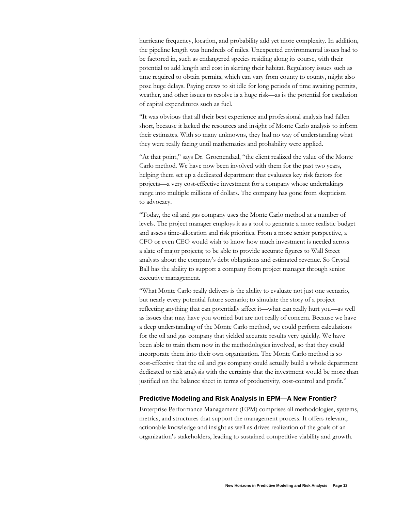<span id="page-11-0"></span>hurricane frequency, location, and probability add yet more complexity. In addition, the pipeline length was hundreds of miles. Unexpected environmental issues had to be factored in, such as endangered species residing along its course, with their potential to add length and cost in skirting their habitat. Regulatory issues such as time required to obtain permits, which can vary from county to county, might also pose huge delays. Paying crews to sit idle for long periods of time awaiting permits, weather, and other issues to resolve is a huge risk—as is the potential for escalation of capital expenditures such as fuel.

"It was obvious that all their best experience and professional analysis had fallen short, because it lacked the resources and insight of Monte Carlo analysis to inform their estimates. With so many unknowns, they had no way of understanding what they were really facing until mathematics and probability were applied.

"At that point," says Dr. Groenendaal, "the client realized the value of the Monte Carlo method. We have now been involved with them for the past two years, helping them set up a dedicated department that evaluates key risk factors for projects—a very cost-effective investment for a company whose undertakings range into multiple millions of dollars. The company has gone from skepticism to advocacy.

"Today, the oil and gas company uses the Monte Carlo method at a number of levels. The project manager employs it as a tool to generate a more realistic budget and assess time-allocation and risk priorities. From a more senior perspective, a CFO or even CEO would wish to know how much investment is needed across a slate of major projects; to be able to provide accurate figures to Wall Street analysts about the company's debt obligations and estimated revenue. So Crystal Ball has the ability to support a company from project manager through senior executive management.

"What Monte Carlo really delivers is the ability to evaluate not just one scenario, but nearly every potential future scenario; to simulate the story of a project reflecting anything that can potentially affect it—what can really hurt you—as well as issues that may have you worried but are not really of concern. Because we have a deep understanding of the Monte Carlo method, we could perform calculations for the oil and gas company that yielded accurate results very quickly. We have been able to train them now in the methodologies involved, so that they could incorporate them into their own organization. The Monte Carlo method is so cost-effective that the oil and gas company could actually build a whole department dedicated to risk analysis with the certainty that the investment would be more than justified on the balance sheet in terms of productivity, cost-control and profit."

#### **Predictive Modeling and Risk Analysis in EPM—A New Frontier?**

Enterprise Performance Management (EPM) comprises all methodologies, systems, metrics, and structures that support the management process. It offers relevant, actionable knowledge and insight as well as drives realization of the goals of an organization's stakeholders, leading to sustained competitive viability and growth.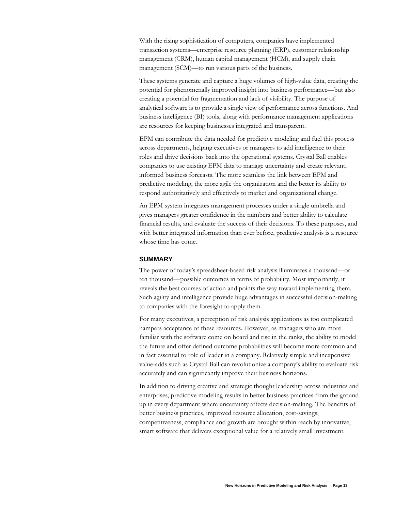<span id="page-12-0"></span>With the rising sophistication of computers, companies have implemented transaction systems—enterprise resource planning (ERP), customer relationship management (CRM), human capital management (HCM), and supply chain management (SCM)—to run various parts of the business.

These systems generate and capture a huge volumes of high-value data, creating the potential for phenomenally improved insight into business performance—but also creating a potential for fragmentation and lack of visibility. The purpose of analytical software is to provide a single view of performance across functions. And business intelligence (BI) tools, along with performance management applications are resources for keeping businesses integrated and transparent.

EPM can contribute the data needed for predictive modeling and fuel this process across departments, helping executives or managers to add intelligence to their roles and drive decisions back into the operational systems. Crystal Ball enables companies to use existing EPM data to manage uncertainty and create relevant, informed business forecasts. The more seamless the link between EPM and predictive modeling, the more agile the organization and the better its ability to respond authoritatively and effectively to market and organizational change.

An EPM system integrates management processes under a single umbrella and gives managers greater confidence in the numbers and better ability to calculate financial results, and evaluate the success of their decisions. To these purposes, and with better integrated information than ever before, predictive analysis is a resource whose time has come.

#### **SUMMARY**

The power of today's spreadsheet-based risk analysis illuminates a thousand—or ten thousand—possible outcomes in terms of probability. Most importantly, it reveals the best courses of action and points the way toward implementing them. Such agility and intelligence provide huge advantages in successful decision-making to companies with the foresight to apply them.

For many executives, a perception of risk analysis applications as too complicated hampers acceptance of these resources. However, as managers who are more familiar with the software come on board and rise in the ranks, the ability to model the future and offer defined outcome probabilities will become more common and in fact essential to role of leader in a company. Relatively simple and inexpensive value-adds such as Crystal Ball can revolutionize a company's ability to evaluate risk accurately and can significantly improve their business horizons.

In addition to driving creative and strategic thought leadership across industries and enterprises, predictive modeling results in better business practices from the ground up in every department where uncertainty affects decision-making. The benefits of better business practices, improved resource allocation, cost-savings, competitiveness, compliance and growth are brought within reach by innovative, smart software that delivers exceptional value for a relatively small investment.